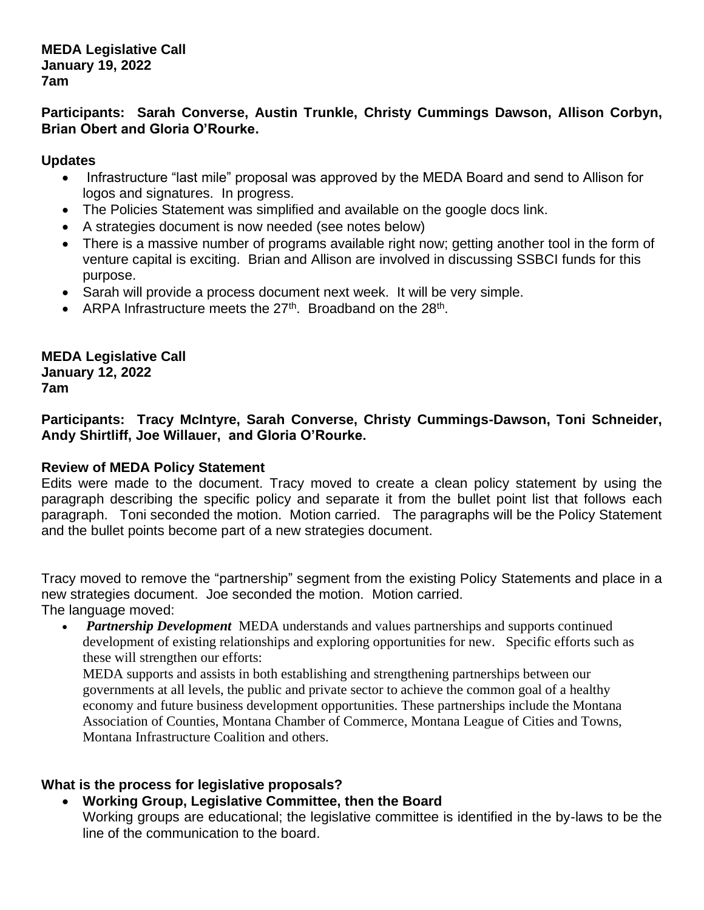**MEDA Legislative Call January 19, 2022 7am**

**Participants: Sarah Converse, Austin Trunkle, Christy Cummings Dawson, Allison Corbyn, Brian Obert and Gloria O'Rourke.**

## **Updates**

- Infrastructure "last mile" proposal was approved by the MEDA Board and send to Allison for logos and signatures. In progress.
- The Policies Statement was simplified and available on the google docs link.
- A strategies document is now needed (see notes below)
- There is a massive number of programs available right now; getting another tool in the form of venture capital is exciting. Brian and Allison are involved in discussing SSBCI funds for this purpose.
- Sarah will provide a process document next week. It will be very simple.
- ARPA Infrastructure meets the  $27<sup>th</sup>$ . Broadband on the  $28<sup>th</sup>$ .

**MEDA Legislative Call January 12, 2022 7am**

**Participants: Tracy McIntyre, Sarah Converse, Christy Cummings-Dawson, Toni Schneider, Andy Shirtliff, Joe Willauer, and Gloria O'Rourke.**

## **Review of MEDA Policy Statement**

Edits were made to the document. Tracy moved to create a clean policy statement by using the paragraph describing the specific policy and separate it from the bullet point list that follows each paragraph. Toni seconded the motion. Motion carried. The paragraphs will be the Policy Statement and the bullet points become part of a new strategies document.

Tracy moved to remove the "partnership" segment from the existing Policy Statements and place in a new strategies document. Joe seconded the motion. Motion carried. The language moved:

• *Partnership Development* MEDA understands and values partnerships and supports continued development of existing relationships and exploring opportunities for new. Specific efforts such as these will strengthen our efforts:

MEDA supports and assists in both establishing and strengthening partnerships between our governments at all levels, the public and private sector to achieve the common goal of a healthy economy and future business development opportunities. These partnerships include the Montana Association of Counties, Montana Chamber of Commerce, Montana League of Cities and Towns, Montana Infrastructure Coalition and others.

## **What is the process for legislative proposals?**

• **Working Group, Legislative Committee, then the Board**

Working groups are educational; the legislative committee is identified in the by-laws to be the line of the communication to the board.